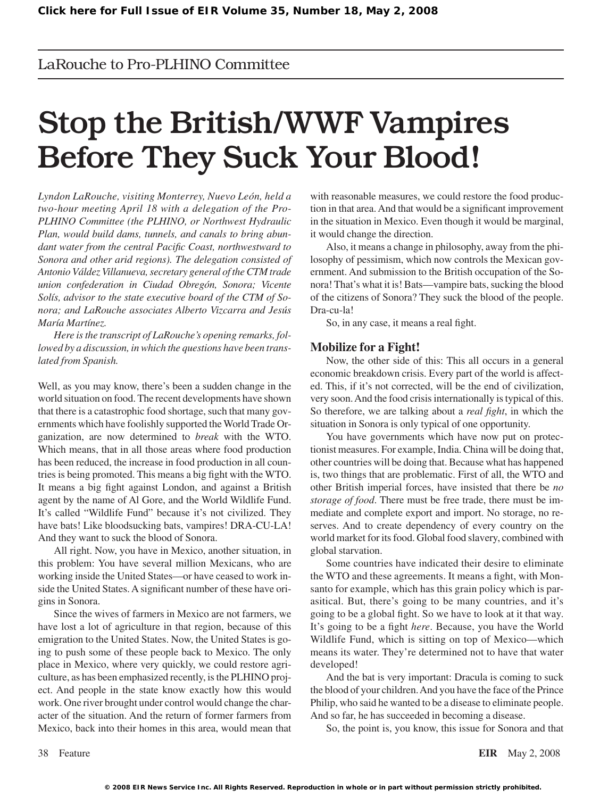### LaRouche to Pro-PLHINO Committee

# Stop the British/WWF Vampires Before They Suck Your Blood!

*Lyndon LaRouche, visiting Monterrey, Nuevo León, held a two-hour meeting April 18 with a delegation of the Pro-PLHINO Committee (the PLHINO, or Northwest Hydraulic Plan, would build dams, tunnels, and canals to bring abundant water from the central Pacific Coast, northwestward to Sonora and other arid regions). The delegation consisted of Antonio Váldez Villanueva, secretary general of the CTM trade union confederation in Ciudad Obregón, Sonora; Vicente Solís, advisor to the state executive board of the CTM of Sonora; and LaRouche associates Alberto Vizcarra and Jesús María Martínez.*

*Here is the transcript of LaRouche's opening remarks, followed by a discussion, in which the questions have been translated from Spanish.*

Well, as you may know, there's been a sudden change in the world situation on food.The recent developments have shown that there is a catastrophic food shortage, such that many governments which have foolishly supported the World Trade Organization, are now determined to *break* with the WTO. Which means, that in all those areas where food production has been reduced, the increase in food production in all countries is being promoted. This means a big fight with the WTO. It means a big fight against London, and against a British agent by the name of Al Gore, and the World Wildlife Fund. It's called "Wildlife Fund" because it's not civilized. They have bats! Like bloodsucking bats, vampires! DRA-CU-LA! And they want to suck the blood of Sonora.

All right. Now, you have in Mexico, another situation, in this problem: You have several million Mexicans, who are working inside the United States—or have ceased to work inside the United States. A significant number of these have origins in Sonora.

Since the wives of farmers in Mexico are not farmers, we have lost a lot of agriculture in that region, because of this emigration to the United States. Now, the United States is going to push some of these people back to Mexico. The only place in Mexico, where very quickly, we could restore agriculture, as has been emphasized recently, is the PLHINO project. And people in the state know exactly how this would work. One river brought under control would change the character of the situation. And the return of former farmers from Mexico, back into their homes in this area, would mean that with reasonable measures, we could restore the food production in that area.And that would be a significant improvement in the situation in Mexico. Even though it would be marginal, it would change the direction.

Also, it means a change in philosophy, away from the philosophy of pessimism, which now controls the Mexican government. And submission to the British occupation of the Sonora! That's what it is! Bats—vampire bats, sucking the blood of the citizens of Sonora? They suck the blood of the people. Dra-cu-la!

So, in any case, it means a real fight.

### **Mobilize for a Fight!**

Now, the other side of this: This all occurs in a general economic breakdown crisis. Every part of the world is affected. This, if it's not corrected, will be the end of civilization, very soon. And the food crisis internationally is typical of this. So therefore, we are talking about a *real fight*, in which the situation in Sonora is only typical of one opportunity.

You have governments which have now put on protectionist measures. For example, India. China will be doing that, other countries will be doing that. Because what has happened is, two things that are problematic. First of all, the WTO and other British imperial forces, have insisted that there be *no storage of food*. There must be free trade, there must be immediate and complete export and import. No storage, no reserves. And to create dependency of every country on the world market for its food. Global food slavery, combined with global starvation.

Some countries have indicated their desire to eliminate the WTO and these agreements. It means a fight, with Monsanto for example, which has this grain policy which is parasitical. But, there's going to be many countries, and it's going to be a global fight. So we have to look at it that way. It's going to be a fight *here*. Because, you have the World Wildlife Fund, which is sitting on top of Mexico—which means its water. They're determined not to have that water developed!

And the bat is very important: Dracula is coming to suck the blood of your children. And you have the face of the Prince Philip, who said he wanted to be a disease to eliminate people. And so far, he has succeeded in becoming a disease.

So, the point is, you know, this issue for Sonora and that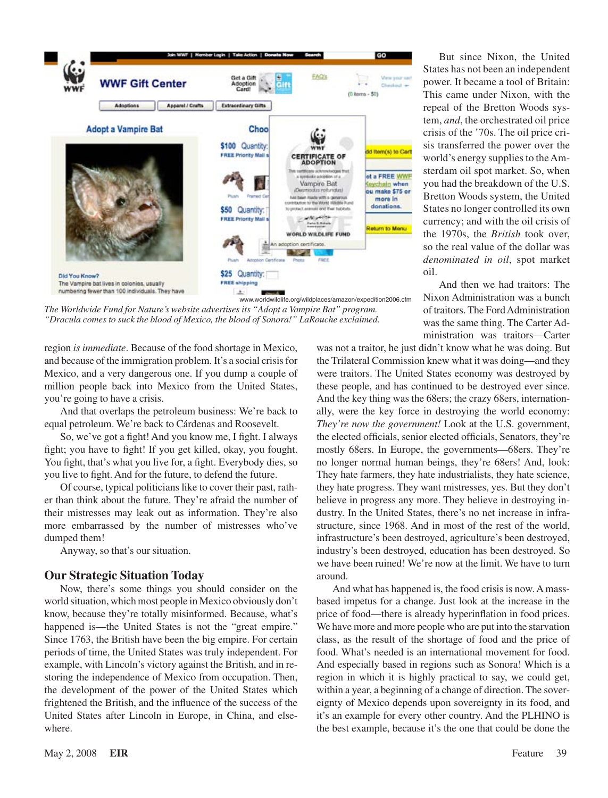

*The Worldwide Fund for Nature's website advertises its "Adopt a Vampire Bat" program. "Dracula comes to suck the blood of Mexico, the blood of Sonora!" LaRouche exclaimed.*

region *is immediate*. Because of the food shortage in Mexico, and because of the immigration problem. It's a social crisis for Mexico, and a very dangerous one. If you dump a couple of million people back into Mexico from the United States, you're going to have a crisis.

And that overlaps the petroleum business: We're back to equal petroleum. We're back to Cárdenas and Roosevelt.

So, we've got a fight! And you know me, I fight. I always fight; you have to fight! If you get killed, okay, you fought. You fight, that's what you live for, a fight. Everybody dies, so you live to fight. And for the future, to defend the future.

Of course, typical politicians like to cover their past, rather than think about the future. They're afraid the number of their mistresses may leak out as information. They're also more embarrassed by the number of mistresses who've dumped them!

Anyway, so that's our situation.

### **Our Strategic Situation Today**

Now, there's some things you should consider on the world situation, which most people in Mexico obviously don't know, because they're totally misinformed. Because, what's happened is—the United States is not the "great empire." Since 1763, the British have been the big empire. For certain periods of time, the United States was truly independent. For example, with Lincoln's victory against the British, and in restoring the independence of Mexico from occupation. Then, the development of the power of the United States which frightened the British, and the influence of the success of the United States after Lincoln in Europe, in China, and elsewhere.

But since Nixon, the United States has not been an independent power. It became a tool of Britain: This came under Nixon, with the repeal of the Bretton Woods system, *and*, the orchestrated oil price crisis of the '70s. The oil price crisis transferred the power over the world's energy supplies to the Amsterdam oil spot market. So, when you had the breakdown of the U.S. Bretton Woods system, the United States no longer controlled its own currency; and with the oil crisis of the 1970s, the *British* took over, so the real value of the dollar was *denominated in oil*, spot market oil.

And then we had traitors: The Nixon Administration was a bunch of traitors. The FordAdministration was the same thing. The Carter Administration was traitors—Carter

was not a traitor, he just didn't know what he was doing. But the Trilateral Commission knew what it was doing—and they were traitors. The United States economy was destroyed by these people, and has continued to be destroyed ever since. And the key thing was the 68ers; the crazy 68ers, internation– ally, were the key force in destroying the world economy: *They're now the government!* Look at the U.S. government, the elected officials, senior elected officials, Senators, they're mostly 68ers. In Europe, the governments—68ers. They're no longer normal human beings, they're 68ers! And, look: They hate farmers, they hate industrialists, they hate science, they hate progress. They want mistresses, yes. But they don't believe in progress any more. They believe in destroying industry. In the United States, there's no net increase in infrastructure, since 1968. And in most of the rest of the world, infrastructure's been destroyed, agriculture's been destroyed, industry's been destroyed, education has been destroyed. So we have been ruined! We're now at the limit. We have to turn around.

And what has happened is, the food crisis is now. Amassbased impetus for a change. Just look at the increase in the price of food—there is already hyperinflation in food prices. We have more and more people who are put into the starvation class, as the result of the shortage of food and the price of food. What's needed is an international movement for food. And especially based in regions such as Sonora! Which is a region in which it is highly practical to say, we could get, within a year, a beginning of a change of direction. The sovereignty of Mexico depends upon sovereignty in its food, and it's an example for every other country. And the PLHINO is the best example, because it's the one that could be done the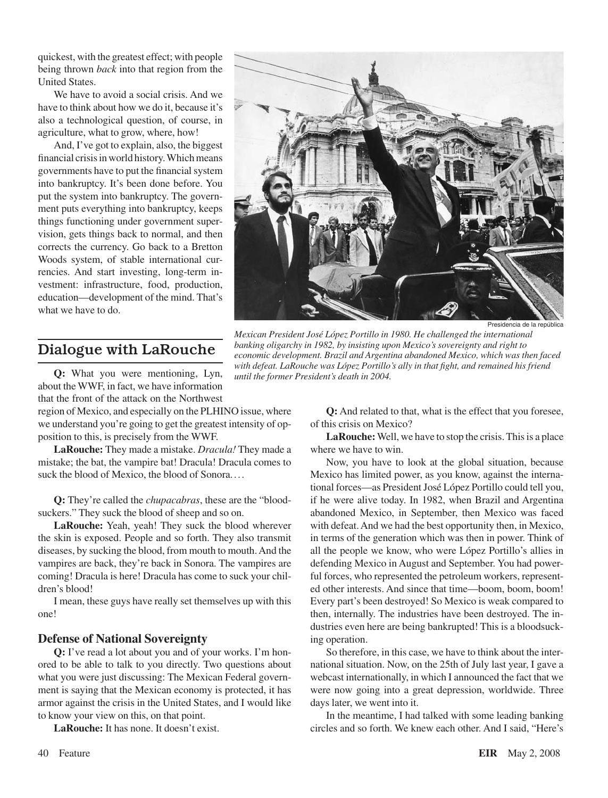quickest, with the greatest effect; with people being thrown *back* into that region from the United States.

We have to avoid a social crisis. And we have to think about how we do it, because it's also a technological question, of course, in agriculture, what to grow, where, how!

And, I've got to explain, also, the biggest financial crisis in world history. Which means governments have to put the financial system into bankruptcy. It's been done before. You put the system into bankruptcy. The government puts everything into bankruptcy, keeps things functioning under government supervision, gets things back to normal, and then corrects the currency. Go back to a Bretton Woods system, of stable international currencies. And start investing, long-term investment: infrastructure, food, production, education—development of the mind. That's what we have to do.

## Dialogue with LaRouche

**Q:** What you were mentioning, Lyn, about the WWF, in fact, we have information that the front of the attack on the Northwest

region of Mexico, and especially on the PLHINO issue, where we understand you're going to get the greatest intensity of opposition to this, is precisely from the WWF.

**LaRouche:** They made a mistake. *Dracula!* They made a mistake; the bat, the vampire bat! Dracula! Dracula comes to suck the blood of Mexico, the blood of Sonora....

**Q:** They're called the *chupacabras*, these are the "blood‑ suckers." They suck the blood of sheep and so on.

**LaRouche:** Yeah, yeah! They suck the blood wherever the skin is exposed. People and so forth. They also transmit diseases, by sucking the blood, from mouth to mouth.And the vampires are back, they're back in Sonora. The vampires are coming! Dracula is here! Dracula has come to suck your children's blood!

I mean, these guys have really set themselves up with this one!

### **Defense of National Sovereignty**

**Q:** I've read a lot about you and of your works. I'm hon‑ ored to be able to talk to you directly. Two questions about what you were just discussing: The Mexican Federal government is saying that the Mexican economy is protected, it has armor against the crisis in the United States, and I would like to know your view on this, on that point.

**LaRouche:** It has none. It doesn't exist.



Presidencia de la república

*Mexican President José López Portillo in 1980. He challenged the international banking oligarchy in 1982, by insisting upon Mexico's sovereignty and right to economic development. Brazil and Argentina abandoned Mexico, which was then faced with defeat. LaRouche was López Portillo's ally in that fight, and remained his friend until the former President's death in 2004.*

**Q:** And related to that, what is the effect that you foresee, of this crisis on Mexico?

LaRouche: Well, we have to stop the crisis. This is a place where we have to win.

Now, you have to look at the global situation, because Mexico has limited power, as you know, against the international forces—as President José López Portillo could tell you, if he were alive today. In 1982, when Brazil and Argentina abandoned Mexico, in September, then Mexico was faced with defeat.And we had the best opportunity then, in Mexico, in terms of the generation which was then in power. Think of all the people we know, who were López Portillo's allies in defending Mexico in August and September. You had powerful forces, who represented the petroleum workers, represented other interests. And since that time—boom, boom, boom! Every part's been destroyed! So Mexico is weak compared to then, internally. The industries have been destroyed. The in‑ dustries even here are being bankrupted! This is a bloodsuck– ing operation.

So therefore, in this case, we have to think about the international situation. Now, on the 25th of July last year, I gave a webcast internationally, in which I announced the fact that we were now going into a great depression, worldwide. Three days later, we went into it.

In the meantime, I had talked with some leading banking circles and so forth. We knew each other. And I said, "Here's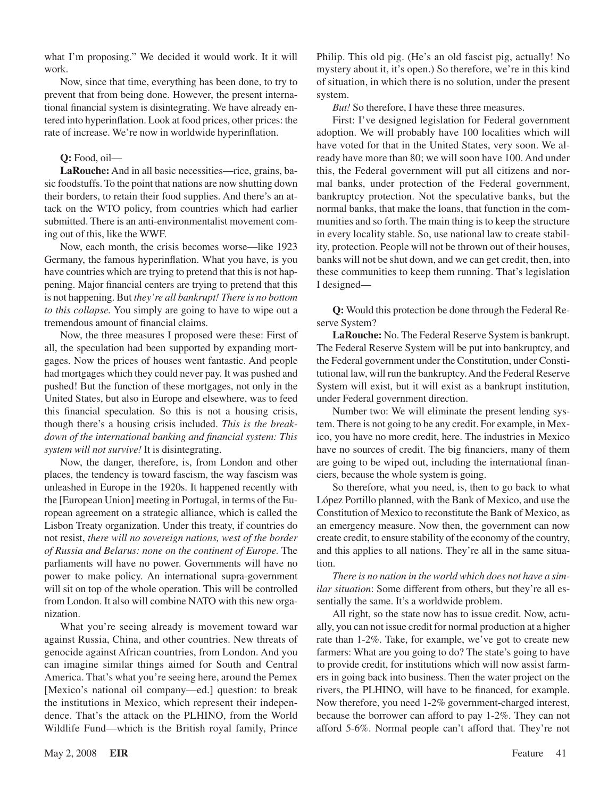what I'm proposing." We decided it would work. It it will work.

Now, since that time, everything has been done, to try to prevent that from being done. However, the present international financial system is disintegrating. We have already entered into hyperinflation. Look at food prices, other prices: the rate of increase. We're now in worldwide hyperinflation.

### **Q:** Food, oil—

LaRouche: And in all basic necessities—rice, grains, basic foodstuffs. To the point that nations are now shutting down their borders, to retain their food supplies. And there's an attack on the WTO policy, from countries which had earlier submitted. There is an anti-environmentalist movement coming out of this, like the WWF.

Now, each month, the crisis becomes worse—like 1923 Germany, the famous hyperinflation. What you have, is you have countries which are trying to pretend that this is not happening. Major financial centers are trying to pretend that this is not happening. But *they're all bankrupt! There is no bottom to this collapse.* You simply are going to have to wipe out a tremendous amount of financial claims.

Now, the three measures I proposed were these: First of all, the speculation had been supported by expanding mortgages. Now the prices of houses went fantastic. And people had mortgages which they could never pay. It was pushed and pushed! But the function of these mortgages, not only in the United States, but also in Europe and elsewhere, was to feed this financial speculation. So this is not a housing crisis, though there's a housing crisis included. *This is the breakdown of the international banking and financial system: This system will not survive!* It is disintegrating.

Now, the danger, therefore, is, from London and other places, the tendency is toward fascism, the way fascism was unleashed in Europe in the 1920s. It happened recently with the [European Union] meeting in Portugal, in terms of the European agreement on a strategic alliance, which is called the Lisbon Treaty organization. Under this treaty, if countries do not resist, *there will no sovereign nations, west of the border of Russia and Belarus: none on the continent of Europe.* The parliaments will have no power. Governments will have no power to make policy. An international supra-government will sit on top of the whole operation. This will be controlled from London. It also will combine NATO with this new organization.

What you're seeing already is movement toward war against Russia, China, and other countries. New threats of genocide against African countries, from London. And you can imagine similar things aimed for South and Central America. That's what you're seeing here, around the Pemex [Mexico's national oil company—ed.] question: to break the institutions in Mexico, which represent their independence. That's the attack on the PLHINO, from the World Wildlife Fund—which is the British royal family, Prince

Philip. This old pig. (He's an old fascist pig, actually! No mystery about it, it's open.) So therefore, we're in this kind of situation, in which there is no solution, under the present system.

*But!* So therefore, I have these three measures.

First: I've designed legislation for Federal government adoption. We will probably have 100 localities which will have voted for that in the United States, very soon. We already have more than 80; we will soon have 100. And under this, the Federal government will put all citizens and normal banks, under protection of the Federal government, bankruptcy protection. Not the speculative banks, but the normal banks, that make the loans, that function in the communities and so forth. The main thing is to keep the structure in every locality stable. So, use national law to create stability, protection. People will not be thrown out of their houses, banks will not be shut down, and we can get credit, then, into these communities to keep them running. That's legislation I designed—

**Q:** Would this protection be done through the Federal Re‑ serve System?

**LaRouche:** No. The Federal Reserve System is bankrupt. The Federal Reserve System will be put into bankruptcy, and the Federal government under the Constitution, under Consti tutional law, will run the bankruptcy.And the Federal Reserve System will exist, but it will exist as a bankrupt institution, under Federal government direction.

Number two: We will eliminate the present lending system. There is not going to be any credit. For example, in Mexico, you have no more credit, here. The industries in Mexico have no sources of credit. The big financiers, many of them are going to be wiped out, including the international financiers, because the whole system is going.

So therefore, what you need, is, then to go back to what López Portillo planned, with the Bank of Mexico, and use the Constitution of Mexico to reconstitute the Bank of Mexico, as an emergency measure. Now then, the government can now create credit, to ensure stability of the economy of the country, and this applies to all nations. They're all in the same situation.

*There is no nation in the world which does not have a similar situation*: Some different from others, but they're all essentially the same. It's a worldwide problem.

All right, so the state now has to issue credit. Now, actually, you can not issue credit for normal production at a higher rate than 1-2%. Take, for example, we've got to create new farmers: What are you going to do? The state's going to have to provide credit, for institutions which will now assist farmers in going back into business. Then the water project on the rivers, the PLHINO, will have to be financed, for example. Now therefore, you need 1-2% government-charged interest, because the borrower can afford to pay 1-2%. They can not afford 5-6%. Normal people can't afford that. They're not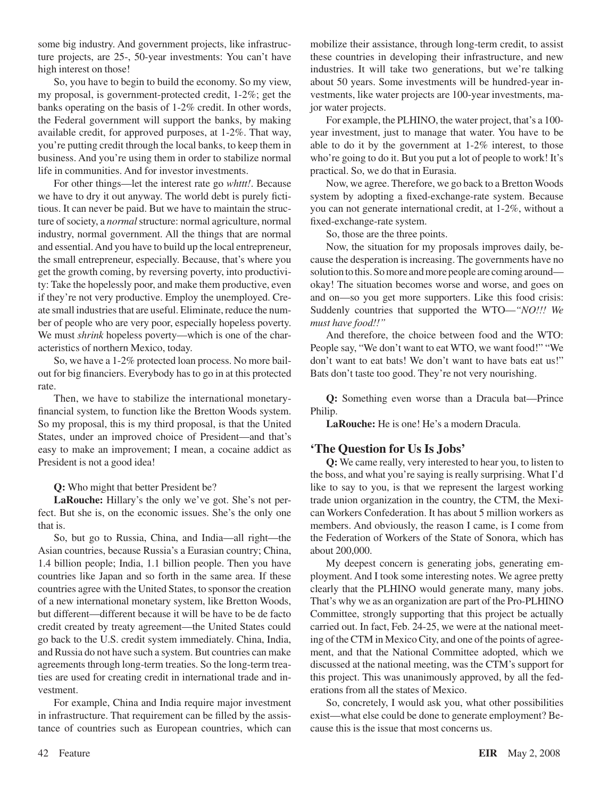some big industry. And government projects, like infrastructure projects, are 25-, 50-year investments: You can't have high interest on those!

So, you have to begin to build the economy. So my view, my proposal, is government-protected credit, 1-2%; get the banks operating on the basis of 1-2% credit. In other words, the Federal government will support the banks, by making available credit, for approved purposes, at 1-2%. That way, you're putting credit through the local banks, to keep them in business. And you're using them in order to stabilize normal life in communities. And for investor investments.

For other things—let the interest rate go *whttt!*. Because we have to dry it out anyway. The world debt is purely fictitious. It can never be paid. But we have to maintain the structure of society, a *normal* structure: normal agriculture, normal industry, normal government. All the things that are normal and essential.And you have to build up the local entrepreneur, the small entrepreneur, especially. Because, that's where you get the growth coming, by reversing poverty, into productivity: Take the hopelessly poor, and make them productive, even if they're not very productive. Employ the unemployed. Create small industries that are useful. Eliminate, reduce the number of people who are very poor, especially hopeless poverty. We must *shrink* hopeless poverty—which is one of the characteristics of northern Mexico, today.

So, we have a 1-2% protected loan process. No more bailout for big financiers. Everybody has to go in at this protected rate.

Then, we have to stabilize the international monetaryfinancial system, to function like the Bretton Woods system. So my proposal, this is my third proposal, is that the United States, under an improved choice of President—and that's easy to make an improvement; I mean, a cocaine addict as President is not a good idea!

**Q:** Who might that better President be?

LaRouche: Hillary's the only we've got. She's not perfect. But she is, on the economic issues. She's the only one that is.

So, but go to Russia, China, and India—all right—the Asian countries, because Russia's a Eurasian country; China, 1.4 billion people; India, 1.1 billion people. Then you have countries like Japan and so forth in the same area. If these countries agree with the United States, to sponsor the creation of a new international monetary system, like Bretton Woods, but different—different because it will be have to be de facto credit created by treaty agreement—the United States could go back to the U.S. credit system immediately. China, India, and Russia do not have such a system. But countries can make agreements through long-term treaties. So the long-term treaties are used for creating credit in international trade and investment.

For example, China and India require major investment in infrastructure. That requirement can be filled by the assistance of countries such as European countries, which can mobilize their assistance, through long-term credit, to assist these countries in developing their infrastructure, and new industries. It will take two generations, but we're talking about 50 years. Some investments will be hundred-year investments, like water projects are 100-year investments, major water projects.

For example, the PLHINO, the water project, that's a 100year investment, just to manage that water. You have to be able to do it by the government at 1-2% interest, to those who're going to do it. But you put a lot of people to work! It's practical. So, we do that in Eurasia.

Now, we agree. Therefore, we go back to a Bretton Woods system by adopting a fixed-exchange-rate system. Because you can not generate international credit, at 1-2%, without a fixed-exchange-rate system.

So, those are the three points.

Now, the situation for my proposals improves daily, because the desperation is increasing. The governments have no solution to this. So more and more people are coming around okay! The situation becomes worse and worse, and goes on and on—so you get more supporters. Like this food crisis: Suddenly countries that supported the WTO—*"NO!!! We must have food!!"*

And therefore, the choice between food and the WTO: People say, "We don't want to eat WTO, we want food!" "We don't want to eat bats! We don't want to have bats eat us!" Bats don't taste too good. They're not very nourishing.

**Q:** Something even worse than a Dracula bat—Prince Philip.

**LaRouche:** He is one! He's a modern Dracula.

### **'The Question for Us Is Jobs'**

**Q:** We came really, very interested to hear you, to listen to the boss, and what you're saying is really surprising. What I'd like to say to you, is that we represent the largest working trade union organization in the country, the CTM, the Mexican Workers Confederation. It has about 5 million workers as members. And obviously, the reason I came, is I come from the Federation of Workers of the State of Sonora, which has about 200,000.

My deepest concern is generating jobs, generating employment. And I took some interesting notes. We agree pretty clearly that the PLHINO would generate many, many jobs. That's why we as an organization are part of the Pro-PLHINO Committee, strongly supporting that this project be actually carried out. In fact, Feb. 24-25, we were at the national meeting of the CTM in Mexico City, and one of the points of agreement, and that the National Committee adopted, which we discussed at the national meeting, was the CTM's support for this project. This was unanimously approved, by all the federations from all the states of Mexico.

So, concretely, I would ask you, what other possibilities exist—what else could be done to generate employment? Because this is the issue that most concerns us.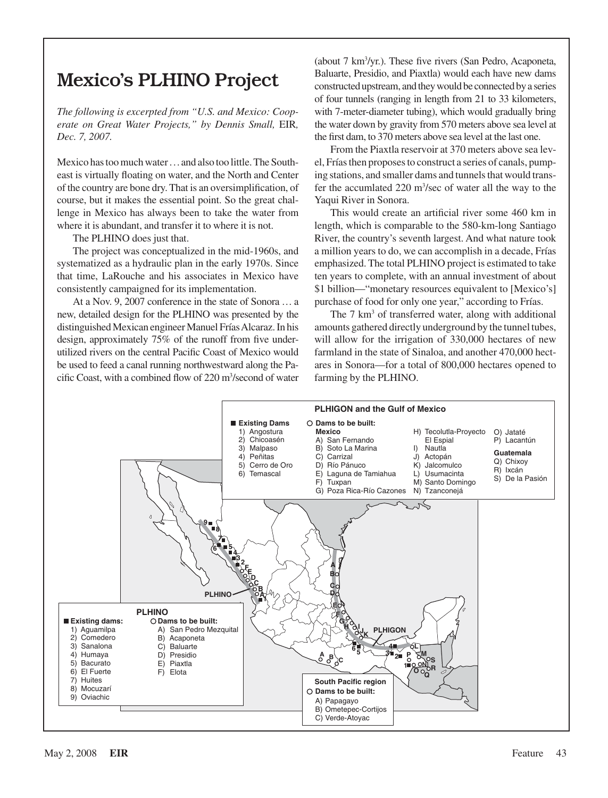# Mexico's PLHINO Project

*The following is excerpted from "U.S. and Mexico: Cooperate on Great Water Projects," by Dennis Small,* EIR*, Dec. 7, 2007.*

Mexico has too much water... and also too little. The Southeast is virtually floating on water, and the North and Center of the country are bone dry. That is an oversimplification, of course, but it makes the essential point. So the great challenge in Mexico has always been to take the water from where it is abundant, and transfer it to where it is not.

The PLHINO does just that.

The project was conceptualized in the mid-1960s, and systematized as a hydraulic plan in the early 1970s. Since that time, LaRouche and his associates in Mexico have consistently campaigned for its implementation.

At a Nov. 9, 2007 conference in the state of Sonora ... a new, detailed design for the PLHINO was presented by the distinguished Mexican engineer Manuel Frías Alcaraz. In his design, approximately 75% of the runoff from five underutilized rivers on the central Pacific Coast of Mexico would be used to feed a canal running northwestward along the Pacific Coast, with a combined flow of 220 m<sup>3</sup>/second of water

(about 7 km3 /yr.). These five rivers (San Pedro, Acaponeta, Baluarte, Presidio, and Piaxtla) would each have new dams constructed upstream, and they would be connected by a series of four tunnels (ranging in length from 21 to 33 kilometers, with 7-meter-diameter tubing), which would gradually bring the water down by gravity from 570 meters above sea level at the first dam, to 370 meters above sea level at the last one.

From the Piaxtla reservoir at 370 meters above sea level, Frías then proposes to construct a series of canals, pumping stations, and smaller dams and tunnels that would transfer the accumlated  $220 \text{ m}^3/\text{sec}$  of water all the way to the Yaqui River in Sonora.

This would create an artificial river some 460 km in length, which is comparable to the 580-km-long Santiago River, the country's seventh largest. And what nature took a million years to do, we can accomplish in a decade, Frías emphasized. The total PLHINO project is estimated to take ten years to complete, with an annual investment of about \$1 billion—"monetary resources equivalent to [Mexico's] purchase of food for only one year," according to Frías.

The 7 km<sup>3</sup> of transferred water, along with additional amounts gathered directly underground by the tunnel tubes, will allow for the irrigation of 330,000 hectares of new farmland in the state of Sinaloa, and another 470,000 hectares in Sonora—for a total of 800,000 hectares opened to farming by the PLHINO.

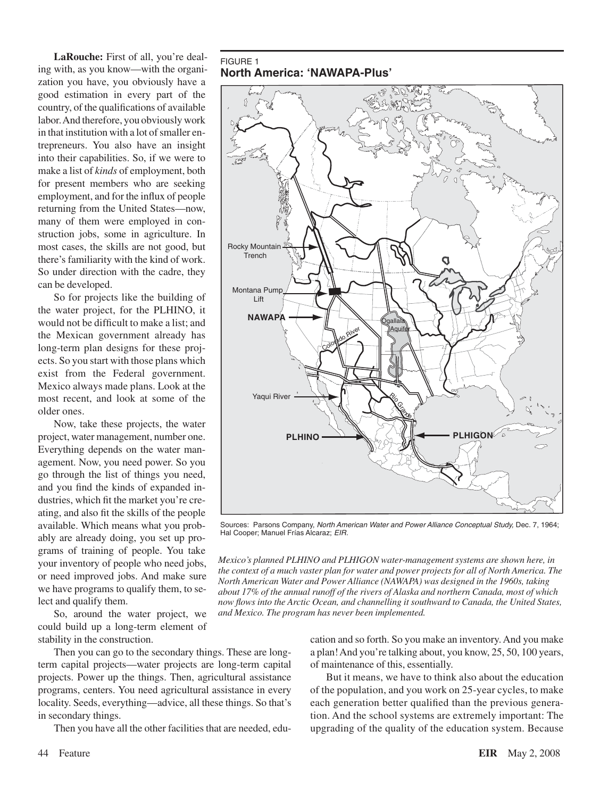LaRouche: First of all, you're dealing with, as you know—with the organization you have, you obviously have a good estimation in every part of the country, of the qualifications of available labor.And therefore, you obviously work in that institution with a lot of smaller entrepreneurs. You also have an insight into their capabilities. So, if we were to make a list of *kinds* of employment, both for present members who are seeking employment, and for the influx of people returning from the United States—now, many of them were employed in construction jobs, some in agriculture. In most cases, the skills are not good, but there's familiarity with the kind of work. So under direction with the cadre, they can be developed.

So for projects like the building of the water project, for the PLHINO, it would not be difficult to make a list; and the Mexican government already has long-term plan designs for these projects. So you start with those plans which exist from the Federal government. Mexico always made plans. Look at the most recent, and look at some of the older ones.

Now, take these projects, the water project, water management, number one. Everything depends on the water management. Now, you need power. So you go through the list of things you need, and you find the kinds of expanded in‑ dustries, which fit the market you're creating, and also fit the skills of the people available. Which means what you probably are already doing, you set up programs of training of people. You take your inventory of people who need jobs, or need improved jobs. And make sure we have programs to qualify them, to select and qualify them.

So, around the water project, we could build up a long-term element of stability in the construction.

Then you can go to the secondary things. These are longterm capital projects—water projects are long-term capital projects. Power up the things. Then, agricultural assistance programs, centers. You need agricultural assistance in every locality. Seeds, everything—advice, all these things. So that's in secondary things.

Then you have all the other facilities that are needed, edu-

**North America: 'NAWAPA-Plus'**

FIGURE 1



Sources: Parsons Company, *North American Water and Power Alliance Conceptual Study,* Dec. 7, 1964; Hal Cooper; Manuel Frías Alcaraz; *EIR.*

*Mexico's planned PLHINO and PLHIGON water-management systems are shown here, in the context of a much vaster plan for water and power projects for all of North America. The North American Water and Power Alliance (NAWAPA) was designed in the 1960s, taking about 17% of the annual runoff of the rivers of Alaska and northern Canada, most of which now flows into the Arctic Ocean, and channelling it southward to Canada, the United States, and Mexico. The program has never been implemented.*

> cation and so forth. So you make an inventory.And you make a plan!And you're talking about, you know, 25, 50, 100 years, of maintenance of this, essentially.

> But it means, we have to think also about the education of the population, and you work on 25-year cycles, to make each generation better qualified than the previous generation. And the school systems are extremely important: The upgrading of the quality of the education system. Because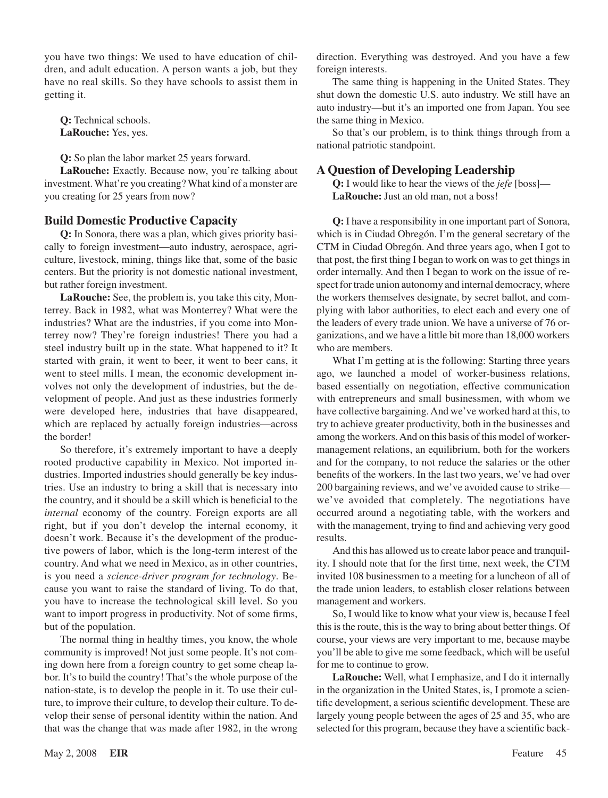you have two things: We used to have education of children, and adult education. A person wants a job, but they have no real skills. So they have schools to assist them in getting it.

**Q:** Technical schools. **LaRouche:** Yes, yes.

**Q:** So plan the labor market 25 years forward.

LaRouche: Exactly. Because now, you're talking about investment.What're you creating?What kind of a monster are you creating for 25 years from now?

### **Build Domestic Productive Capacity**

Q: In Sonora, there was a plan, which gives priority basically to foreign investment—auto industry, aerospace, agriculture, livestock, mining, things like that, some of the basic centers. But the priority is not domestic national investment, but rather foreign investment.

LaRouche: See, the problem is, you take this city, Monterrey. Back in 1982, what was Monterrey? What were the industries? What are the industries, if you come into Monterrey now? They're foreign industries! There you had a steel industry built up in the state. What happened to it? It started with grain, it went to beer, it went to beer cans, it went to steel mills. I mean, the economic development involves not only the development of industries, but the development of people. And just as these industries formerly were developed here, industries that have disappeared, which are replaced by actually foreign industries—across the border!

So therefore, it's extremely important to have a deeply rooted productive capability in Mexico. Not imported in‑ dustries. Imported industries should generally be key industries. Use an industry to bring a skill that is necessary into the country, and it should be a skill which is beneficial to the *internal* economy of the country. Foreign exports are all right, but if you don't develop the internal economy, it doesn't work. Because it's the development of the productive powers of labor, which is the long-term interest of the country. And what we need in Mexico, as in other countries, is you need a *science-driver program for technology*. Be‑ cause you want to raise the standard of living. To do that, you have to increase the technological skill level. So you want to import progress in productivity. Not of some firms, but of the population.

The normal thing in healthy times, you know, the whole community is improved! Not just some people. It's not coming down here from a foreign country to get some cheap labor. It's to build the country! That's the whole purpose of the nation-state, is to develop the people in it. To use their culture, to improve their culture, to develop their culture. To develop their sense of personal identity within the nation. And that was the change that was made after 1982, in the wrong direction. Everything was destroyed. And you have a few foreign interests.

The same thing is happening in the United States. They shut down the domestic U.S. auto industry. We still have an auto industry—but it's an imported one from Japan. You see the same thing in Mexico.

So that's our problem, is to think things through from a national patriotic standpoint.

### **A Question of Developing Leadership**

**Q:** I would like to hear the views of the *jefe* [boss]— **LaRouche:** Just an old man, not a boss!

**Q:** I have a responsibility in one important part of Sonora, which is in Ciudad Obregón. I'm the general secretary of the CTM in Ciudad Obregón. And three years ago, when I got to that post, the first thing I began to work on was to get things in order internally. And then I began to work on the issue of re‑ spect for trade union autonomy and internal democracy, where the workers themselves designate, by secret ballot, and complying with labor authorities, to elect each and every one of the leaders of every trade union. We have a universe of 76 organizations, and we have a little bit more than 18,000 workers who are members.

What I'm getting at is the following: Starting three years ago, we launched a model of worker-business relations, based essentially on negotiation, effective communication with entrepreneurs and small businessmen, with whom we have collective bargaining. And we've worked hard at this, to try to achieve greater productivity, both in the businesses and among the workers.And on this basis of this model of workermanagement relations, an equilibrium, both for the workers and for the company, to not reduce the salaries or the other benefits of the workers. In the last two years, we've had over 200 bargaining reviews, and we've avoided cause to strike we've avoided that completely. The negotiations have occurred around a negotiating table, with the workers and with the management, trying to find and achieving very good results.

And this has allowed us to create labor peace and tranquility. I should note that for the first time, next week, the CTM invited 108 businessmen to a meeting for a luncheon of all of the trade union leaders, to establish closer relations between management and workers.

So, I would like to know what your view is, because I feel this is the route, this is the way to bring about better things. Of course, your views are very important to me, because maybe you'll be able to give me some feedback, which will be useful for me to continue to grow.

**LaRouche:** Well, what I emphasize, and I do it internally in the organization in the United States, is, I promote a scientific development, a serious scientific development. These are largely young people between the ages of 25 and 35, who are selected for this program, because they have a scientific back-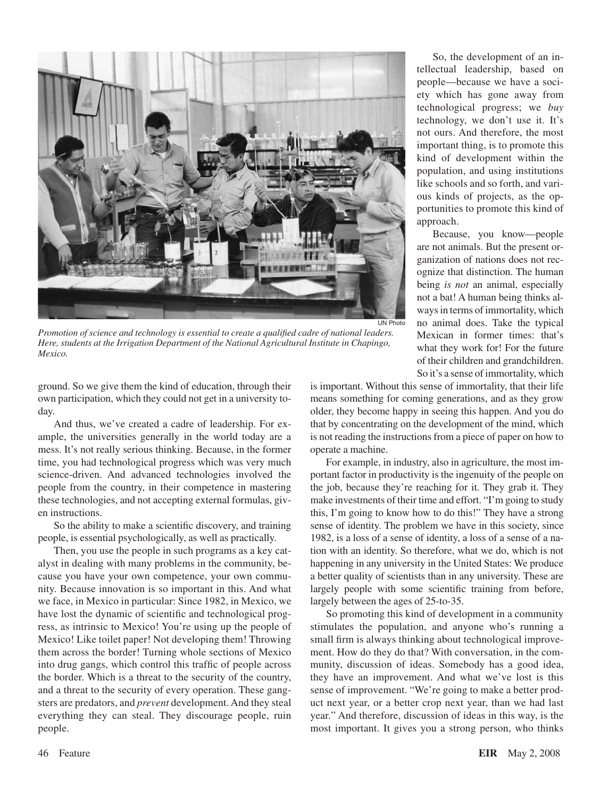

*Promotion of science and technology is essential to create a qualified cadre of national leaders. Here, students at the Irrigation Department of the National Agricultural Institute in Chapingo, Mexico.*

ground. So we give them the kind of education, through their own participation, which they could not get in a university today.

And thus, we've created a cadre of leadership. For example, the universities generally in the world today are a mess. It's not really serious thinking. Because, in the former time, you had technological progress which was very much science-driven. And advanced technologies involved the people from the country, in their competence in mastering these technologies, and not accepting external formulas, given instructions.

So the ability to make a scientific discovery, and training people, is essential psychologically, as well as practically.

Then, you use the people in such programs as a key catalyst in dealing with many problems in the community, because you have your own competence, your own community. Because innovation is so important in this. And what we face, in Mexico in particular: Since 1982, in Mexico, we have lost the dynamic of scientific and technological progress, as intrinsic to Mexico! You're using up the people of Mexico! Like toilet paper! Not developing them! Throwing them across the border! Turning whole sections of Mexico into drug gangs, which control this traffic of people across the border. Which is a threat to the security of the country, and a threat to the security of every operation. These gangsters are predators, and *prevent* development.And they steal everything they can steal. They discourage people, ruin people.

So, the development of an intellectual leadership, based on people—because we have a society which has gone away from technological progress; we *buy* technology, we don't use it. It's not ours. And therefore, the most important thing, is to promote this kind of development within the population, and using institutions like schools and so forth, and various kinds of projects, as the opportunities to promote this kind of approach.

Because, you know—people are not animals. But the present organization of nations does not recognize that distinction. The human being *is not* an animal, especially not a bat! A human being thinks al‑ ways in terms of immortality, which no animal does. Take the typical Mexican in former times: that's what they work for! For the future of their children and grandchildren. So it's a sense ofimmortality, which

is important. Without this sense of immortality, that their life means something for coming generations, and as they grow older, they become happy in seeing this happen. And you do that by concentrating on the development of the mind, which is not reading the instructions from a piece of paper on how to operate a machine.

For example, in industry, also in agriculture, the most important factor in productivity is the ingenuity of the people on the job, because they're reaching for it. They grab it. They make investments of their time and effort. "I'm going to study this, I'm going to know how to do this!" They have a strong sense of identity. The problem we have in this society, since 1982, is a loss of a sense of identity, a loss of a sense of a na‑ tion with an identity. So therefore, what we do, which is not happening in any university in the United States: We produce a better quality of scientists than in any university. These are largely people with some scientific training from before, largely between the ages of 25-to-35.

So promoting this kind of development in a community stimulates the population, and anyone who's running a small firm is always thinking about technological improvement. How do they do that? With conversation, in the community, discussion of ideas. Somebody has a good idea, they have an improvement. And what we've lost is this sense of improvement. "We're going to make a better product next year, or a better crop next year, than we had last year." And therefore, discussion of ideas in this way, is the most important. It gives you a strong person, who thinks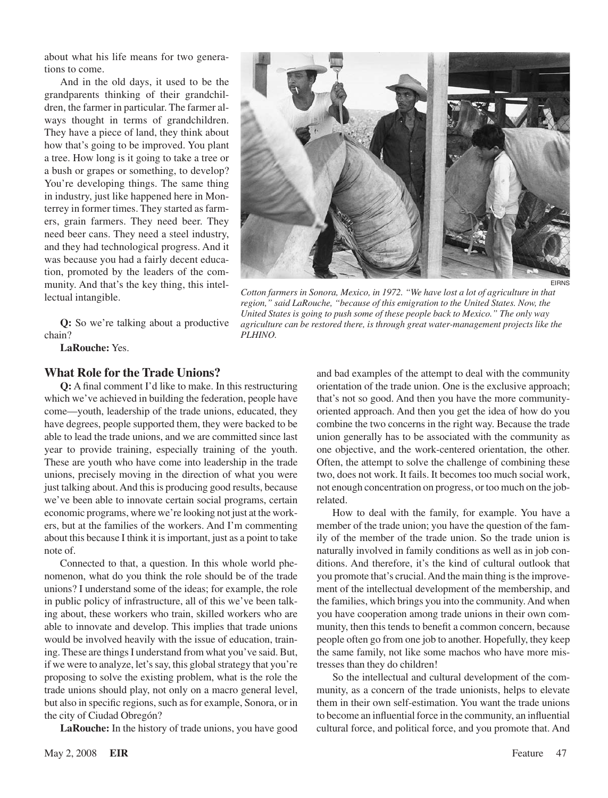about what his life means for two generations to come.

And in the old days, it used to be the grandparents thinking of their grandchildren, the farmer in particular. The farmer always thought in terms of grandchildren. They have a piece of land, they think about how that's going to be improved. You plant a tree. How long is it going to take a tree or a bush or grapes or something, to develop? You're developing things. The same thing in industry, just like happened here in Monterrey in former times. They started as farmers, grain farmers. They need beer. They need beer cans. They need a steel industry, and they had technological progress. And it was because you had a fairly decent education, promoted by the leaders of the community. And that's the key thing, this intellectual intangible.

**Q:** So we're talking about a productive chain?

**LaRouche:** Yes.

### **What Role for the Trade Unions?**

**Q:** A final comment I'd like to make. In this restructuring which we've achieved in building the federation, people have come—youth, leadership of the trade unions, educated, they have degrees, people supported them, they were backed to be able to lead the trade unions, and we are committed since last year to provide training, especially training of the youth. These are youth who have come into leadership in the trade unions, precisely moving in the direction of what you were just talking about. And this is producing good results, because we've been able to innovate certain social programs, certain economic programs, where we're looking not just at the workers, but at the families of the workers. And I'm commenting about this because I think it is important, just as a point to take note of.

Connected to that, a question. In this whole world phenomenon, what do you think the role should be of the trade unions? I understand some of the ideas; for example, the role in public policy of infrastructure, all of this we've been talking about, these workers who train, skilled workers who are able to innovate and develop. This implies that trade unions would be involved heavily with the issue of education, training. These are things I understand from what you've said. But, if we were to analyze, let's say, this global strategy that you're proposing to solve the existing problem, what is the role the trade unions should play, not only on a macro general level, but also in specific regions, such as for example, Sonora, or in the city of Ciudad Obregón?

**LaRouche:** In the history of trade unions, you have good



*Cotton farmers in Sonora, Mexico, in 1972. "We have lost a lot of agriculture in that*  region," said LaRouche, "because of this emigration to the United States. Now, the *United States is going to push some of these people back to Mexico." The only way agriculture can be restored there, is through great water-management projects like the PLHINO.*

and bad examples of the attempt to deal with the community orientation of the trade union. One is the exclusive approach; that's not so good. And then you have the more communityoriented approach. And then you get the idea of how do you combine the two concerns in the right way. Because the trade union generally has to be associated with the community as one objective, and the work-centered orientation, the other. Often, the attempt to solve the challenge of combining these two, does not work. It fails. It becomes too much social work, not enough concentration on progress, or too much on the jobrelated.

How to deal with the family, for example. You have a member of the trade union; you have the question of the family of the member of the trade union. So the trade union is naturally involved in family conditions as well as in job conditions. And therefore, it's the kind of cultural outlook that you promote that's crucial. And the main thing is the improvement of the intellectual development of the membership, and the families, which brings you into the community.And when you have cooperation among trade unions in their own community, then this tends to benefit a common concern, because people often go from one job to another. Hopefully, they keep the same family, not like some machos who have more mistresses than they do children!

So the intellectual and cultural development of the community, as a concern of the trade unionists, helps to elevate them in their own self-estimation. You want the trade unions to become an influential force in the community, an influential cultural force, and political force, and you promote that. And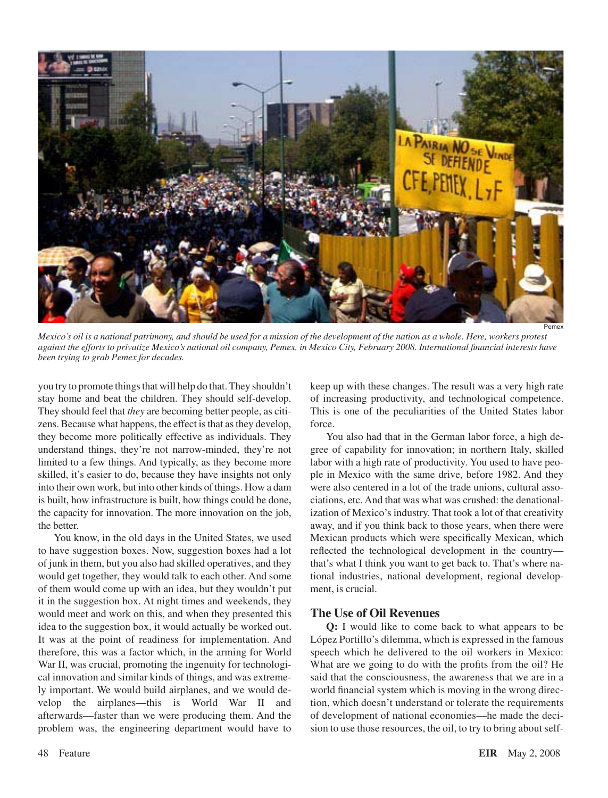

Pemex

*Mexico's oil is a national patrimony, and should be used for a mission of the development of the nation as a whole. Here, workers protest against the efforts to privatize Mexico's national oil company, Pemex, in Mexico City, February 2008. International financial interests have been trying to grab Pemex for decades.*

you try to promote things that will help do that. They shouldn't stay home and beat the children. They should self-develop. They should feel that *they* are becoming better people, as citizens. Because what happens, the effect is that as they develop, they become more politically effective as individuals. They understand things, they're not narrow-minded, they're not limited to a few things. And typically, as they become more skilled, it's easier to do, because they have insights not only into their own work, but into other kinds of things. How a dam is built, how infrastructure is built, how things could be done, the capacity for innovation. The more innovation on the job, the better.

You know, in the old days in the United States, we used to have suggestion boxes. Now, suggestion boxes had a lot of junk in them, but you also had skilled operatives, and they would get together, they would talk to each other. And some of them would come up with an idea, but they wouldn't put it in the suggestion box. At night times and weekends, they would meet and work on this, and when they presented this idea to the suggestion box, it would actually be worked out. It was at the point of readiness for implementation. And therefore, this was a factor which, in the arming for World War II, was crucial, promoting the ingenuity for technological innovation and similar kinds of things, and was extremely important. We would build airplanes, and we would develop the airplanes—this is World War II and afterwards—faster than we were producing them. And the problem was, the engineering department would have to keep up with these changes. The result was a very high rate of increasing productivity, and technological competence. This is one of the peculiarities of the United States labor force.

You also had that in the German labor force, a high degree of capability for innovation; in northern Italy, skilled labor with a high rate of productivity. You used to have people in Mexico with the same drive, before 1982. And they were also centered in a lot of the trade unions, cultural associations, etc. And that was what was crushed: the denationalization of Mexico's industry. That took a lot of that creativity away, and if you think back to those years, when there were Mexican products which were specifically Mexican, which reflected the technological development in the country that's what I think you want to get back to. That's where national industries, national development, regional development, is crucial.

### **The Use of Oil Revenues**

**Q:** I would like to come back to what appears to be López Portillo's dilemma, which is expressed in the famous speech which he delivered to the oil workers in Mexico: What are we going to do with the profits from the oil? He said that the consciousness, the awareness that we are in a world financial system which is moving in the wrong direction, which doesn't understand or tolerate the requirements of development of national economies—he made the decision to use those resources, the oil, to try to bring about self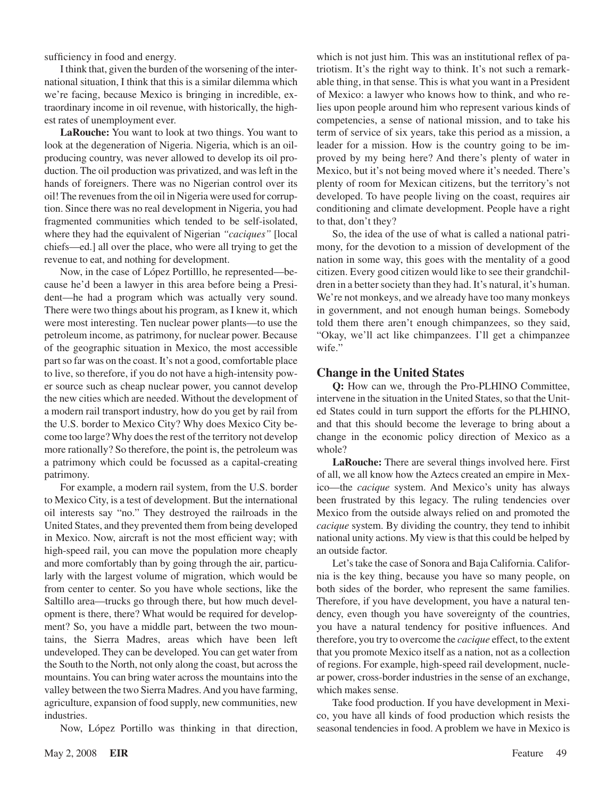sufficiency in food and energy.

I think that, given the burden of the worsening of the international situation, I think that this is a similar dilemma which we're facing, because Mexico is bringing in incredible, extraordinary income in oil revenue, with historically, the highest rates of unemployment ever.

**LaRouche:** You want to look at two things. You want to look at the degeneration of Nigeria. Nigeria, which is an oilproducing country, was never allowed to develop its oil production. The oil production was privatized, and was left in the hands of foreigners. There was no Nigerian control over its oil! The revenues from the oil in Nigeria were used for corruption. Since there was no real development in Nigeria, you had fragmented communities which tended to be self-isolated, where they had the equivalent of Nigerian *"caciques"* [local chiefs—ed.] all over the place, who were all trying to get the revenue to eat, and nothing for development.

Now, in the case of López Portilllo, he represented—be‑ cause he'd been a lawyer in this area before being a President—he had a program which was actually very sound. There were two things about his program, as I knew it, which were most interesting. Ten nuclear power plants—to use the petroleum income, as patrimony, for nuclear power. Because of the geographic situation in Mexico, the most accessible part so far was on the coast. It's not a good, comfortable place to live, so therefore, if you do not have a high-intensity power source such as cheap nuclear power, you cannot develop the new cities which are needed. Without the development of a modern rail transport industry, how do you get by rail from the U.S. border to Mexico City? Why does Mexico City become too large? Why does the rest of the territory not develop more rationally? So therefore, the point is, the petroleum was a patrimony which could be focussed as a capital-creating patrimony.

For example, a modern rail system, from the U.S. border to Mexico City, is a test of development. But the international oil interests say "no." They destroyed the railroads in the United States, and they prevented them from being developed in Mexico. Now, aircraft is not the most efficient way; with high-speed rail, you can move the population more cheaply and more comfortably than by going through the air, particularly with the largest volume of migration, which would be from center to center. So you have whole sections, like the Saltillo area—trucks go through there, but how much development is there, there? What would be required for development? So, you have a middle part, between the two mountains, the Sierra Madres, areas which have been left undeveloped. They can be developed. You can get water from the South to the North, not only along the coast, but across the mountains. You can bring water across the mountains into the valley between the two Sierra Madres.And you have farming, agriculture, expansion of food supply, new communities, new industries.

Now, López Portillo was thinking in that direction,

which is not just him. This was an institutional reflex of patriotism. It's the right way to think. It's not such a remarkable thing, in that sense. This is what you want in a President of Mexico: a lawyer who knows how to think, and who re‑ lies upon people around him who represent various kinds of competencies, a sense of national mission, and to take his term of service of six years, take this period as a mission, a leader for a mission. How is the country going to be improved by my being here? And there's plenty of water in Mexico, but it's not being moved where it's needed. There's plenty of room for Mexican citizens, but the territory's not developed. To have people living on the coast, requires air conditioning and climate development. People have a right to that, don't they?

So, the idea of the use of what is called a national patrimony, for the devotion to a mission of development of the nation in some way, this goes with the mentality of a good citizen. Every good citizen would like to see their grandchildren in a better society than they had. It's natural, it's human. We're not monkeys, and we already have too many monkeys in government, and not enough human beings. Somebody told them there aren't enough chimpanzees, so they said, "Okay, we'll act like chimpanzees. I'll get a chimpanzee wife."

### **Change in the United States**

**Q:** How can we, through the Pro-PLHINO Committee, intervene in the situation in the United States, so that the United States could in turn support the efforts for the PLHINO, and that this should become the leverage to bring about a change in the economic policy direction of Mexico as a whole?

**LaRouche:** There are several things involved here. First of all, we all know how the Aztecs created an empire in Mexico—the *cacique* system. And Mexico's unity has always been frustrated by this legacy. The ruling tendencies over Mexico from the outside always relied on and promoted the *cacique* system. By dividing the country, they tend to inhibit national unity actions. My view isthat this could be helped by an outside factor.

Let's take the case of Sonora and Baja California. California is the key thing, because you have so many people, on both sides of the border, who represent the same families. Therefore, if you have development, you have a natural tendency, even though you have sovereignty of the countries, you have a natural tendency for positive influences. And therefore, you try to overcome the *cacique* effect, to the extent that you promote Mexico itself as a nation, not as a collection of regions. For example, high-speed rail development, nuclear power, cross-border industries in the sense of an exchange, which makes sense.

Take food production. If you have development in Mexico, you have all kinds of food production which resists the seasonal tendencies in food. A problem we have in Mexico is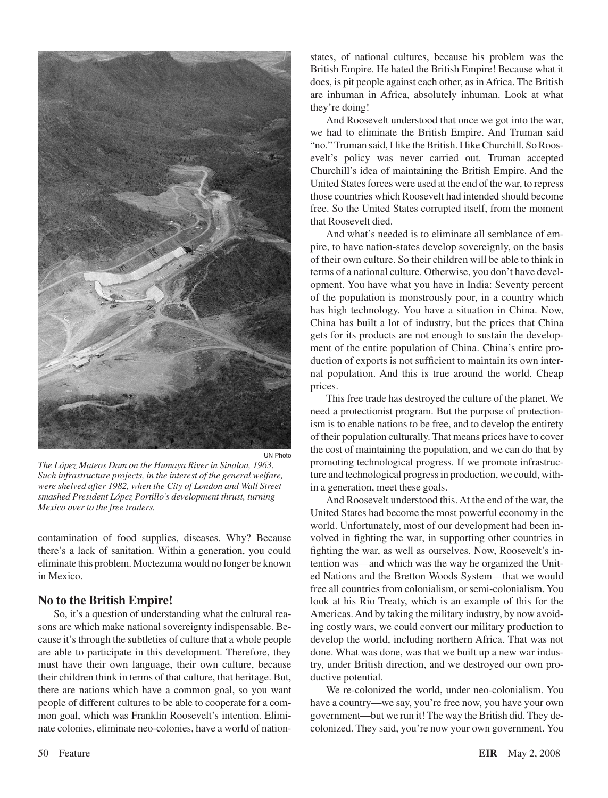

*The López Mateos Dam on the Humaya River in Sinaloa, 1963. Such infrastructure projects, in the interest of the general welfare, were shelved after 1982, when the City of London and Wall Street smashed President López Portillo's development thrust, turning Mexico over to the free traders.*

contamination of food supplies, diseases. Why? Because there's a lack of sanitation. Within a generation, you could eliminate this problem. Moctezuma would no longer be known in Mexico.

### **No to the British Empire!**

So, it's a question of understanding what the cultural reasons are which make national sovereignty indispensable. Because it's through the subtleties of culture that a whole people are able to participate in this development. Therefore, they must have their own language, their own culture, because their children think in terms of that culture, that heritage. But, there are nations which have a common goal, so you want people of different cultures to be able to cooperate for a common goal, which was Franklin Roosevelt's intention. Eliminate colonies, eliminate neo-colonies, have a world of nationstates, of national cultures, because his problem was the British Empire. He hated the British Empire! Because what it does, is pit people against each other, as inAfrica. The British are inhuman in Africa, absolutely inhuman. Look at what they're doing!

And Roosevelt understood that once we got into the war, we had to eliminate the British Empire. And Truman said "no." Truman said, I like the British. I like Churchill. So Roosevelt's policy was never carried out. Truman accepted Churchill's idea of maintaining the British Empire. And the United States forces were used at the end of the war, to repress those countries which Roosevelt had intended should become free. So the United States corrupted itself, from the moment that Roosevelt died.

And what's needed is to eliminate all semblance of empire, to have nation-states develop sovereignly, on the basis of their own culture. So their children will be able to think in terms of a national culture. Otherwise, you don't have development. You have what you have in India: Seventy percent of the population is monstrously poor, in a country which has high technology. You have a situation in China. Now, China has built a lot of industry, but the prices that China gets for its products are not enough to sustain the development of the entire population of China. China's entire production of exports is not sufficient to maintain its own internal population. And this is true around the world. Cheap prices.

This free trade has destroyed the culture of the planet. We need a protectionist program. But the purpose of protectionism is to enable nations to be free, and to develop the entirety of their population culturally. That means prices have to cover the cost of maintaining the population, and we can do that by promoting technological progress. If we promote infrastructure and technological progress in production, we could, within a generation, meet these goals.

And Roosevelt understood this. At the end of the war, the United States had become the most powerful economy in the world. Unfortunately, most of our development had been involved in fighting the war, in supporting other countries in fighting the war, as well as ourselves. Now, Roosevelt's intention was—and which was the way he organized the United Nations and the Bretton Woods System—that we would free all countries from colonialism, or semi-colonialism. You look at his Rio Treaty, which is an example of this for the Americas. And by taking the military industry, by now avoiding costly wars, we could convert our military production to develop the world, including northern Africa. That was not done. What was done, was that we built up a new war industry, under British direction, and we destroyed our own productive potential.

We re-colonized the world, under neo-colonialism. You have a country—we say, you're free now, you have your own government—but we run it! The way the British did. They decolonized. They said, you're now your own government. You